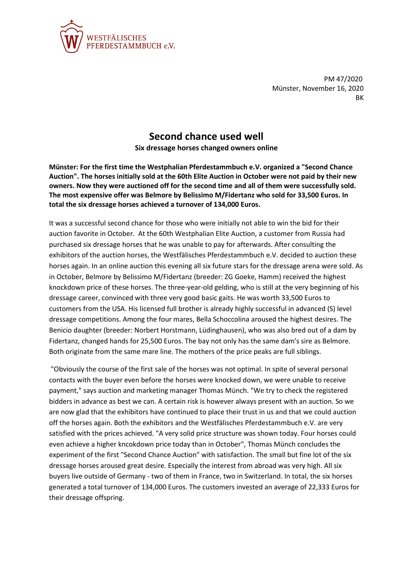

PM 47/2020 Münster, November 16, 2020 **RK** 

## **Second chance used well**

**Six dressage horses changed owners online**

**Münster: For the first time the Westphalian Pferdestammbuch e.V. organized a "Second Chance Auction". The horses initially sold at the 60th Elite Auction in October were not paid by their new owners. Now they were auctioned off for the second time and all of them were successfully sold. The most expensive offer was Belmore by Belissimo M/Fidertanz who sold for 33,500 Euros. In total the six dressage horses achieved a turnover of 134,000 Euros.**

It was a successful second chance for those who were initially not able to win the bid for their auction favorite in October. At the 60th Westphalian Elite Auction, a customer from Russia had purchased six dressage horses that he was unable to pay for afterwards. After consulting the exhibitors of the auction horses, the Westfälisches Pferdestammbuch e.V. decided to auction these horses again. In an online auction this evening all six future stars for the dressage arena were sold. As in October, Belmore by Belissimo M/Fidertanz (breeder: ZG Goeke, Hamm) received the highest knockdown price of these horses. The three-year-old gelding, who is still at the very beginning of his dressage career, convinced with three very good basic gaits. He was worth 33,500 Euros to customers from the USA. His licensed full brother is already highly successful in advanced (S) level dressage competitions. Among the four mares, Bella Schoccolina aroused the highest desires. The Benicio daughter (breeder: Norbert Horstmann, Lüdinghausen), who was also bred out of a dam by Fidertanz, changed hands for 25,500 Euros. The bay not only has the same dam's sire as Belmore. Both originate from the same mare line. The mothers of the price peaks are full siblings.

"Obviously the course of the first sale of the horses was not optimal. In spite of several personal contacts with the buyer even before the horses were knocked down, we were unable to receive payment," says auction and marketing manager Thomas Münch. "We try to check the registered bidders in advance as best we can. A certain risk is however always present with an auction. So we are now glad that the exhibitors have continued to place their trust in us and that we could auction off the horses again. Both the exhibitors and the Westfälisches Pferdestammbuch e.V. are very satisfied with the prices achieved. "A very solid price structure was shown today. Four horses could even achieve a higher kncokdown price today than in October", Thomas Münch concludes the experiment of the first "Second Chance Auction" with satisfaction. The small but fine lot of the six dressage horses aroused great desire. Especially the interest from abroad was very high. All six buyers live outside of Germany - two of them in France, two in Switzerland. In total, the six horses generated a total turnover of 134,000 Euros. The customers invested an average of 22,333 Euros for their dressage offspring.